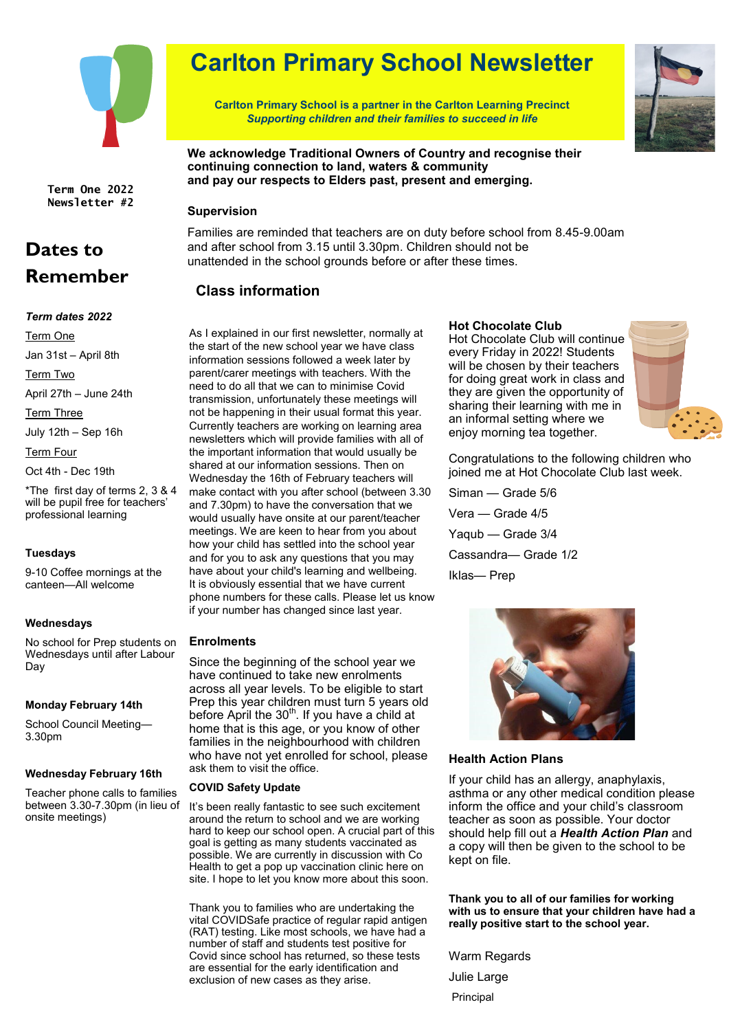

**Term One 2022 Newsletter #2**

## **Dates to Remember**

#### *Term dates 2022*

Term One

Jan 31st – April 8th

Term Two

April 27th – June 24th

Term Three

July 12th – Sep 16h

Term Four

Oct 4th - Dec 19th

\*The first day of terms 2, 3 & 4 will be pupil free for teachers' professional learning

#### **Tuesdays**

9-10 Coffee mornings at the canteen—All welcome

#### **Wednesdays**

No school for Prep students on Wednesdays until after Labour Day

#### **Monday February 14th**

School Council Meeting— 3.30pm

#### **Wednesday February 16th**

Teacher phone calls to families between 3.30-7.30pm (in lieu of onsite meetings)

# **Carlton Primary School Newsletter**

**Carlton Primary School is a partner in the Carlton Learning Precinct** *Supporting children and their families to succeed in life*



**We acknowledge Traditional Owners of Country and recognise their continuing connection to land, waters & community and pay our respects to Elders past, present and emerging.**

#### **Supervision**

Families are reminded that teachers are on duty before school from 8.45-9.00am and after school from 3.15 until 3.30pm. Children should not be unattended in the school grounds before or after these times.

### **Class information**

As I explained in our first newsletter, normally at the start of the new school year we have class information sessions followed a week later by parent/carer meetings with teachers. With the need to do all that we can to minimise Covid transmission, unfortunately these meetings will not be happening in their usual format this year. Currently teachers are working on learning area newsletters which will provide families with all of the important information that would usually be shared at our information sessions. Then on Wednesday the 16th of February teachers will make contact with you after school (between 3.30 and 7.30pm) to have the conversation that we would usually have onsite at our parent/teacher meetings. We are keen to hear from you about how your child has settled into the school year and for you to ask any questions that you may have about your child's learning and wellbeing. It is obviously essential that we have current phone numbers for these calls. Please let us know if your number has changed since last year.

#### **Enrolments**

Since the beginning of the school year we have continued to take new enrolments across all year levels. To be eligible to start Prep this year children must turn 5 years old before April the 30<sup>th</sup>. If you have a child at home that is this age, or you know of other families in the neighbourhood with children who have not yet enrolled for school, please ask them to visit the office.

#### **COVID Safety Update**

It's been really fantastic to see such excitement around the return to school and we are working hard to keep our school open. A crucial part of this goal is getting as many students vaccinated as possible. We are currently in discussion with Co Health to get a pop up vaccination clinic here on site. I hope to let you know more about this soon.

Thank you to families who are undertaking the vital COVIDSafe practice of regular rapid antigen (RAT) testing. Like most schools, we have had a number of staff and students test positive for Covid since school has returned, so these tests are essential for the early identification and exclusion of new cases as they arise.

#### **Hot Chocolate Club**

Hot Chocolate Club will continue every Friday in 2022! Students will be chosen by their teachers for doing great work in class and they are given the opportunity of sharing their learning with me in an informal setting where we enjoy morning tea together.



Congratulations to the following children who joined me at Hot Chocolate Club last week.

Siman — Grade 5/6 Vera — Grade 4/5 Yaqub — Grade 3/4 Cassandra— Grade 1/2 Iklas— Prep



#### **Health Action Plans**

If your child has an allergy, anaphylaxis, asthma or any other medical condition please inform the office and your child's classroom teacher as soon as possible. Your doctor should help fill out a *Health Action Plan* and a copy will then be given to the school to be kept on file.

**Thank you to all of our families for working with us to ensure that your children have had a really positive start to the school year.**

Warm Regards

Julie Large

Principal